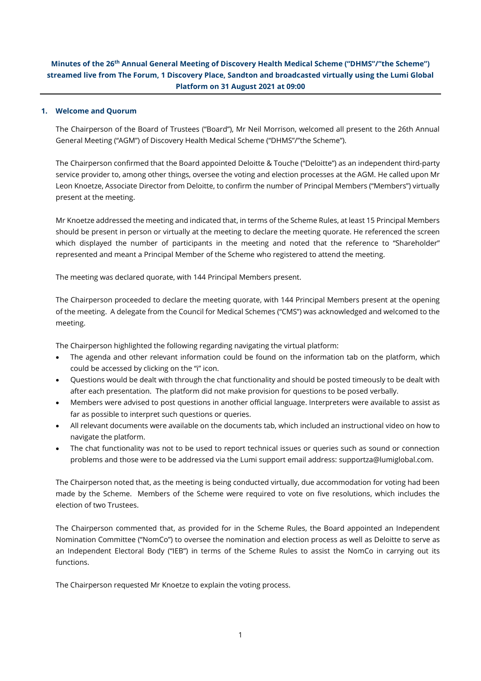# **Minutes of the 26 th Annual General Meeting of Discovery Health Medical Scheme ("DHMS"/"the Scheme") streamed live from The Forum, 1 Discovery Place, Sandton and broadcasted virtually using the Lumi Global Platform on 31 August 2021 at 09:00**

#### **1. Welcome and Quorum**

The Chairperson of the Board of Trustees ("Board"), Mr Neil Morrison, welcomed all present to the 26th Annual General Meeting ("AGM") of Discovery Health Medical Scheme ("DHMS"/"the Scheme").

The Chairperson confirmed that the Board appointed Deloitte & Touche ("Deloitte") as an independent third-party service provider to, among other things, oversee the voting and election processes at the AGM. He called upon Mr Leon Knoetze, Associate Director from Deloitte, to confirm the number of Principal Members ("Members") virtually present at the meeting.

Mr Knoetze addressed the meeting and indicated that, in terms of the Scheme Rules, at least 15 Principal Members should be present in person or virtually at the meeting to declare the meeting quorate. He referenced the screen which displayed the number of participants in the meeting and noted that the reference to "Shareholder" represented and meant a Principal Member of the Scheme who registered to attend the meeting.

The meeting was declared quorate, with 144 Principal Members present.

The Chairperson proceeded to declare the meeting quorate, with 144 Principal Members present at the opening of the meeting. A delegate from the Council for Medical Schemes ("CMS") was acknowledged and welcomed to the meeting.

The Chairperson highlighted the following regarding navigating the virtual platform:

- The agenda and other relevant information could be found on the information tab on the platform, which could be accessed by clicking on the "i" icon.
- Questions would be dealt with through the chat functionality and should be posted timeously to be dealt with after each presentation. The platform did not make provision for questions to be posed verbally.
- Members were advised to post questions in another official language. Interpreters were available to assist as far as possible to interpret such questions or queries.
- All relevant documents were available on the documents tab, which included an instructional video on how to navigate the platform.
- The chat functionality was not to be used to report technical issues or queries such as sound or connection problems and those were to be addressed via the Lumi support email address: [supportza@lumiglobal.com.](mailto:supportza@lumiglobal.com)

The Chairperson noted that, as the meeting is being conducted virtually, due accommodation for voting had been made by the Scheme. Members of the Scheme were required to vote on five resolutions, which includes the election of two Trustees.

The Chairperson commented that, as provided for in the Scheme Rules, the Board appointed an Independent Nomination Committee ("NomCo") to oversee the nomination and election process as well as Deloitte to serve as an Independent Electoral Body ("IEB") in terms of the Scheme Rules to assist the NomCo in carrying out its functions.

The Chairperson requested Mr Knoetze to explain the voting process.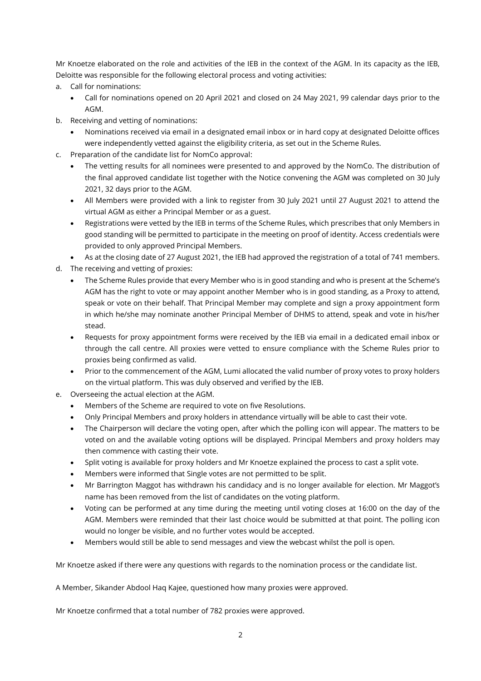Mr Knoetze elaborated on the role and activities of the IEB in the context of the AGM. In its capacity as the IEB, Deloitte was responsible for the following electoral process and voting activities:

- a. Call for nominations:
	- Call for nominations opened on 20 April 2021 and closed on 24 May 2021, 99 calendar days prior to the AGM.
- b. Receiving and vetting of nominations:
	- Nominations received via email in a designated email inbox or in hard copy at designated Deloitte offices were independently vetted against the eligibility criteria, as set out in the Scheme Rules.
- c. Preparation of the candidate list for NomCo approval:
	- The vetting results for all nominees were presented to and approved by the NomCo. The distribution of the final approved candidate list together with the Notice convening the AGM was completed on 30 July 2021, 32 days prior to the AGM.
	- All Members were provided with a link to register from 30 July 2021 until 27 August 2021 to attend the virtual AGM as either a Principal Member or as a guest.
	- Registrations were vetted by the IEB in terms of the Scheme Rules, which prescribes that only Members in good standing will be permitted to participate in the meeting on proof of identity. Access credentials were provided to only approved Principal Members.
- As at the closing date of 27 August 2021, the IEB had approved the registration of a total of 741 members. d. The receiving and vetting of proxies:
	- The Scheme Rules provide that every Member who is in good standing and who is present at the Scheme's AGM has the right to vote or may appoint another Member who is in good standing, as a Proxy to attend, speak or vote on their behalf. That Principal Member may complete and sign a proxy appointment form in which he/she may nominate another Principal Member of DHMS to attend, speak and vote in his/her stead.
	- Requests for proxy appointment forms were received by the IEB via email in a dedicated email inbox or through the call centre. All proxies were vetted to ensure compliance with the Scheme Rules prior to proxies being confirmed as valid.
	- Prior to the commencement of the AGM, Lumi allocated the valid number of proxy votes to proxy holders on the virtual platform. This was duly observed and verified by the IEB.
- e. Overseeing the actual election at the AGM.
	- Members of the Scheme are required to vote on five Resolutions.
	- Only Principal Members and proxy holders in attendance virtually will be able to cast their vote.
	- The Chairperson will declare the voting open, after which the polling icon will appear. The matters to be voted on and the available voting options will be displayed. Principal Members and proxy holders may then commence with casting their vote.
	- Split voting is available for proxy holders and Mr Knoetze explained the process to cast a split vote.
	- Members were informed that Single votes are not permitted to be split.
	- Mr Barrington Maggot has withdrawn his candidacy and is no longer available for election. Mr Maggot's name has been removed from the list of candidates on the voting platform.
	- Voting can be performed at any time during the meeting until voting closes at 16:00 on the day of the AGM. Members were reminded that their last choice would be submitted at that point. The polling icon would no longer be visible, and no further votes would be accepted.
	- Members would still be able to send messages and view the webcast whilst the poll is open.

Mr Knoetze asked if there were any questions with regards to the nomination process or the candidate list.

A Member, Sikander Abdool Haq Kajee, questioned how many proxies were approved.

Mr Knoetze confirmed that a total number of 782 proxies were approved.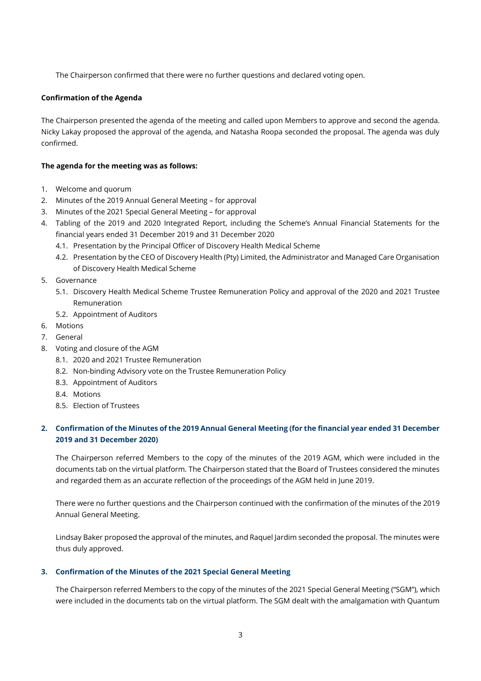The Chairperson confirmed that there were no further questions and declared voting open.

#### **Confirmation of the Agenda**

The Chairperson presented the agenda of the meeting and called upon Members to approve and second the agenda. Nicky Lakay proposed the approval of the agenda, and Natasha Roopa seconded the proposal. The agenda was duly confirmed.

#### **The agenda for the meeting was as follows:**

- 1. Welcome and quorum
- 2. Minutes of the 2019 Annual General Meeting for approval
- 3. Minutes of the 2021 Special General Meeting for approval
- 4. Tabling of the 2019 and 2020 Integrated Report, including the Scheme's Annual Financial Statements for the financial years ended 31 December 2019 and 31 December 2020
	- 4.1. Presentation by the Principal Officer of Discovery Health Medical Scheme
	- 4.2. Presentation by the CEO of Discovery Health (Pty) Limited, the Administrator and Managed Care Organisation of Discovery Health Medical Scheme
- 5. Governance
	- 5.1. Discovery Health Medical Scheme Trustee Remuneration Policy and approval of the 2020 and 2021 Trustee Remuneration
	- 5.2. Appointment of Auditors
- 6. Motions
- 7. General
- 8. Voting and closure of the AGM
	- 8.1. 2020 and 2021 Trustee Remuneration
	- 8.2. Non-binding Advisory vote on the Trustee Remuneration Policy
	- 8.3. Appointment of Auditors
	- 8.4. Motions
	- 8.5. Election of Trustees

# **2. Confirmation of the Minutes of the 2019 Annual General Meeting (for the financial year ended 31 December 2019 and 31 December 2020)**

The Chairperson referred Members to the copy of the minutes of the 2019 AGM, which were included in the documents tab on the virtual platform. The Chairperson stated that the Board of Trustees considered the minutes and regarded them as an accurate reflection of the proceedings of the AGM held in June 2019.

There were no further questions and the Chairperson continued with the confirmation of the minutes of the 2019 Annual General Meeting.

Lindsay Baker proposed the approval of the minutes, and Raquel Jardim seconded the proposal. The minutes were thus duly approved.

### **3. Confirmation of the Minutes of the 2021 Special General Meeting**

The Chairperson referred Members to the copy of the minutes of the 2021 Special General Meeting ("SGM"), which were included in the documents tab on the virtual platform. The SGM dealt with the amalgamation with Quantum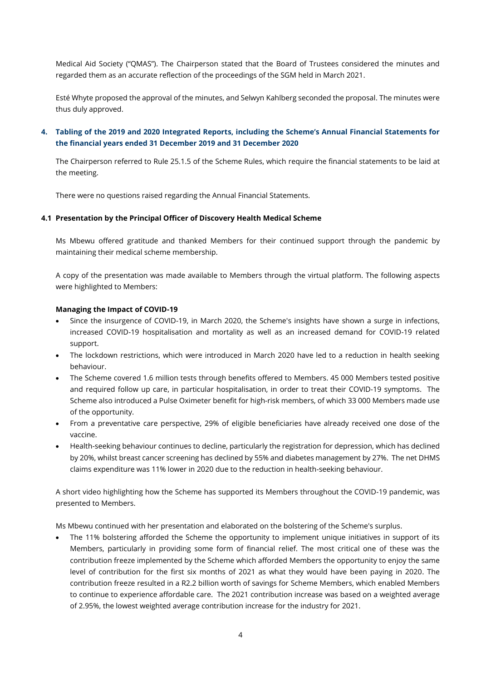Medical Aid Society ("QMAS"). The Chairperson stated that the Board of Trustees considered the minutes and regarded them as an accurate reflection of the proceedings of the SGM held in March 2021.

Esté Whyte proposed the approval of the minutes, and Selwyn Kahlberg seconded the proposal. The minutes were thus duly approved.

# **4. Tabling of the 2019 and 2020 Integrated Reports, including the Scheme's Annual Financial Statements for the financial years ended 31 December 2019 and 31 December 2020**

The Chairperson referred to Rule 25.1.5 of the Scheme Rules, which require the financial statements to be laid at the meeting.

There were no questions raised regarding the Annual Financial Statements.

#### **4.1 Presentation by the Principal Officer of Discovery Health Medical Scheme**

Ms Mbewu offered gratitude and thanked Members for their continued support through the pandemic by maintaining their medical scheme membership.

A copy of the presentation was made available to Members through the virtual platform. The following aspects were highlighted to Members:

#### **Managing the Impact of COVID-19**

- Since the insurgence of COVID-19, in March 2020, the Scheme's insights have shown a surge in infections, increased COVID-19 hospitalisation and mortality as well as an increased demand for COVID-19 related support.
- The lockdown restrictions, which were introduced in March 2020 have led to a reduction in health seeking behaviour.
- The Scheme covered 1.6 million tests through benefits offered to Members. 45 000 Members tested positive and required follow up care, in particular hospitalisation, in order to treat their COVID-19 symptoms. The Scheme also introduced a Pulse Oximeter benefit for high-risk members, of which 33 000 Members made use of the opportunity.
- From a preventative care perspective, 29% of eligible beneficiaries have already received one dose of the vaccine.
- Health-seeking behaviour continues to decline, particularly the registration for depression, which has declined by 20%, whilst breast cancer screening has declined by 55% and diabetes management by 27%. The net DHMS claims expenditure was 11% lower in 2020 due to the reduction in health-seeking behaviour.

A short video highlighting how the Scheme has supported its Members throughout the COVID-19 pandemic, was presented to Members.

Ms Mbewu continued with her presentation and elaborated on the bolstering of the Scheme's surplus.

The 11% bolstering afforded the Scheme the opportunity to implement unique initiatives in support of its Members, particularly in providing some form of financial relief. The most critical one of these was the contribution freeze implemented by the Scheme which afforded Members the opportunity to enjoy the same level of contribution for the first six months of 2021 as what they would have been paying in 2020. The contribution freeze resulted in a R2.2 billion worth of savings for Scheme Members, which enabled Members to continue to experience affordable care. The 2021 contribution increase was based on a weighted average of 2.95%, the lowest weighted average contribution increase for the industry for 2021.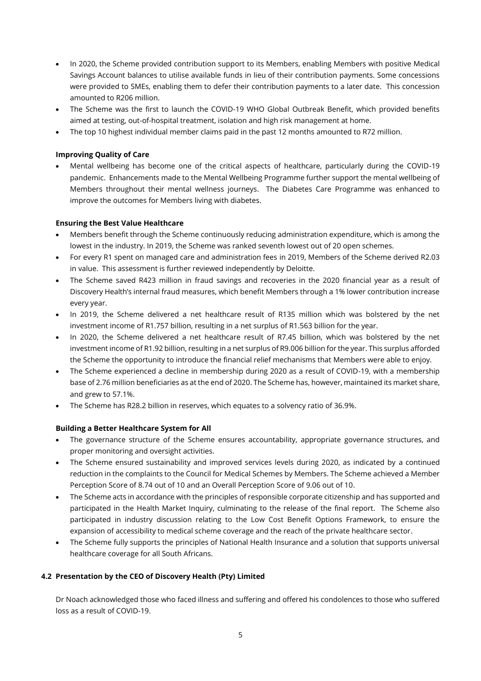- In 2020, the Scheme provided contribution support to its Members, enabling Members with positive Medical Savings Account balances to utilise available funds in lieu of their contribution payments. Some concessions were provided to SMEs, enabling them to defer their contribution payments to a later date. This concession amounted to R206 million.
- The Scheme was the first to launch the COVID-19 WHO Global Outbreak Benefit, which provided benefits aimed at testing, out-of-hospital treatment, isolation and high risk management at home.
- The top 10 highest individual member claims paid in the past 12 months amounted to R72 million.

### **Improving Quality of Care**

• Mental wellbeing has become one of the critical aspects of healthcare, particularly during the COVID-19 pandemic. Enhancements made to the Mental Wellbeing Programme further support the mental wellbeing of Members throughout their mental wellness journeys. The Diabetes Care Programme was enhanced to improve the outcomes for Members living with diabetes.

# **Ensuring the Best Value Healthcare**

- Members benefit through the Scheme continuously reducing administration expenditure, which is among the lowest in the industry. In 2019, the Scheme was ranked seventh lowest out of 20 open schemes.
- For every R1 spent on managed care and administration fees in 2019, Members of the Scheme derived R2.03 in value. This assessment is further reviewed independently by Deloitte.
- The Scheme saved R423 million in fraud savings and recoveries in the 2020 financial year as a result of Discovery Health's internal fraud measures, which benefit Members through a 1% lower contribution increase every year.
- In 2019, the Scheme delivered a net healthcare result of R135 million which was bolstered by the net investment income of R1.757 billion, resulting in a net surplus of R1.563 billion for the year.
- In 2020, the Scheme delivered a net healthcare result of R7.45 billion, which was bolstered by the net investment income of R1.92 billion, resulting in a net surplus of R9.006 billion for the year. This surplus afforded the Scheme the opportunity to introduce the financial relief mechanisms that Members were able to enjoy.
- The Scheme experienced a decline in membership during 2020 as a result of COVID-19, with a membership base of 2.76 million beneficiaries as at the end of 2020. The Scheme has, however, maintained its market share, and grew to 57.1%.
- The Scheme has R28.2 billion in reserves, which equates to a solvency ratio of 36.9%.

### **Building a Better Healthcare System for All**

- The governance structure of the Scheme ensures accountability, appropriate governance structures, and proper monitoring and oversight activities.
- The Scheme ensured sustainability and improved services levels during 2020, as indicated by a continued reduction in the complaints to the Council for Medical Schemes by Members. The Scheme achieved a Member Perception Score of 8.74 out of 10 and an Overall Perception Score of 9.06 out of 10.
- The Scheme acts in accordance with the principles of responsible corporate citizenship and has supported and participated in the Health Market Inquiry, culminating to the release of the final report. The Scheme also participated in industry discussion relating to the Low Cost Benefit Options Framework, to ensure the expansion of accessibility to medical scheme coverage and the reach of the private healthcare sector.
- The Scheme fully supports the principles of National Health Insurance and a solution that supports universal healthcare coverage for all South Africans.

# **4.2 Presentation by the CEO of Discovery Health (Pty) Limited**

Dr Noach acknowledged those who faced illness and suffering and offered his condolences to those who suffered loss as a result of COVID-19.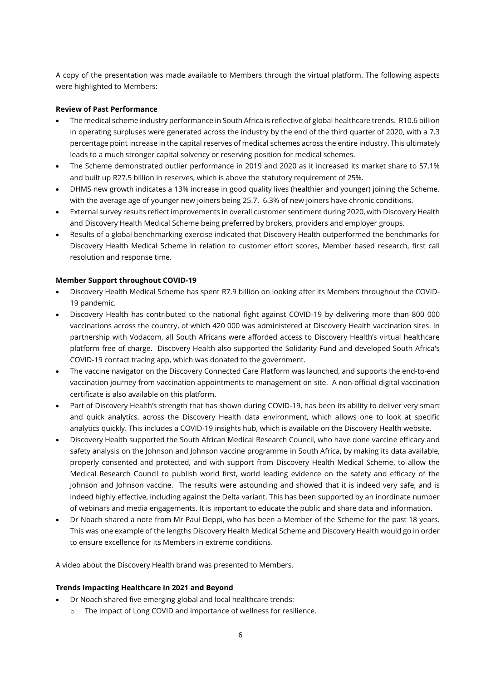A copy of the presentation was made available to Members through the virtual platform. The following aspects were highlighted to Members:

### **Review of Past Performance**

- The medical scheme industry performance in South Africa is reflective of global healthcare trends. R10.6 billion in operating surpluses were generated across the industry by the end of the third quarter of 2020, with a 7.3 percentage point increase in the capital reserves of medical schemes across the entire industry. This ultimately leads to a much stronger capital solvency or reserving position for medical schemes.
- The Scheme demonstrated outlier performance in 2019 and 2020 as it increased its market share to 57.1% and built up R27.5 billion in reserves, which is above the statutory requirement of 25%.
- DHMS new growth indicates a 13% increase in good quality lives (healthier and younger) joining the Scheme, with the average age of younger new joiners being 25.7. 6.3% of new joiners have chronic conditions.
- External survey results reflect improvements in overall customer sentiment during 2020, with Discovery Health and Discovery Health Medical Scheme being preferred by brokers, providers and employer groups.
- Results of a global benchmarking exercise indicated that Discovery Health outperformed the benchmarks for Discovery Health Medical Scheme in relation to customer effort scores, Member based research, first call resolution and response time.

#### **Member Support throughout COVID-19**

- Discovery Health Medical Scheme has spent R7.9 billion on looking after its Members throughout the COVID-19 pandemic.
- Discovery Health has contributed to the national fight against COVID-19 by delivering more than 800 000 vaccinations across the country, of which 420 000 was administered at Discovery Health vaccination sites. In partnership with Vodacom, all South Africans were afforded access to Discovery Health's virtual healthcare platform free of charge. Discovery Health also supported the Solidarity Fund and developed South Africa's COVID-19 contact tracing app, which was donated to the government.
- The vaccine navigator on the Discovery Connected Care Platform was launched, and supports the end-to-end vaccination journey from vaccination appointments to management on site. A non-official digital vaccination certificate is also available on this platform.
- Part of Discovery Health's strength that has shown during COVID-19, has been its ability to deliver very smart and quick analytics, across the Discovery Health data environment, which allows one to look at specific analytics quickly. This includes a COVID-19 insights hub, which is available on the Discovery Health website.
- Discovery Health supported the South African Medical Research Council, who have done vaccine efficacy and safety analysis on the Johnson and Johnson vaccine programme in South Africa, by making its data available, properly consented and protected, and with support from Discovery Health Medical Scheme, to allow the Medical Research Council to publish world first, world leading evidence on the safety and efficacy of the Johnson and Johnson vaccine. The results were astounding and showed that it is indeed very safe, and is indeed highly effective, including against the Delta variant. This has been supported by an inordinate number of webinars and media engagements. It is important to educate the public and share data and information.
- Dr Noach shared a note from Mr Paul Deppi, who has been a Member of the Scheme for the past 18 years. This was one example of the lengths Discovery Health Medical Scheme and Discovery Health would go in order to ensure excellence for its Members in extreme conditions.

A video about the Discovery Health brand was presented to Members.

#### **Trends Impacting Healthcare in 2021 and Beyond**

- Dr Noach shared five emerging global and local healthcare trends:
	- o The impact of Long COVID and importance of wellness for resilience.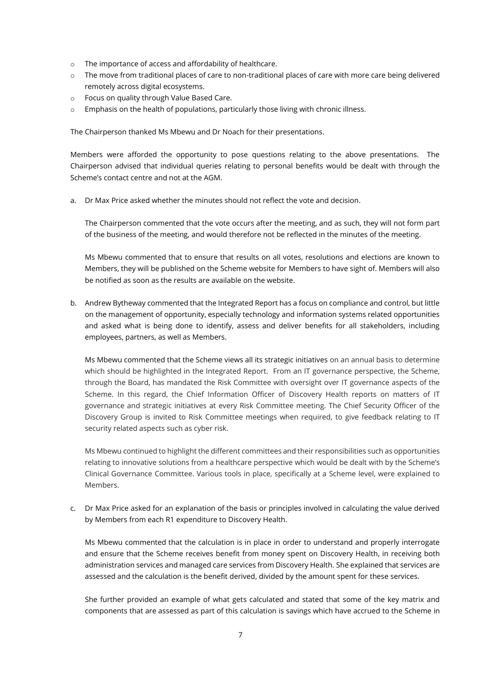- o The importance of access and affordability of healthcare.
- o The move from traditional places of care to non-traditional places of care with more care being delivered remotely across digital ecosystems.
- o Focus on quality through Value Based Care.
- $\circ$  Emphasis on the health of populations, particularly those living with chronic illness.

The Chairperson thanked Ms Mbewu and Dr Noach for their presentations.

Members were afforded the opportunity to pose questions relating to the above presentations. The Chairperson advised that individual queries relating to personal benefits would be dealt with through the Scheme's contact centre and not at the AGM.

a. Dr Max Price asked whether the minutes should not reflect the vote and decision.

The Chairperson commented that the vote occurs after the meeting, and as such, they will not form part of the business of the meeting, and would therefore not be reflected in the minutes of the meeting.

Ms Mbewu commented that to ensure that results on all votes, resolutions and elections are known to Members, they will be published on the Scheme website for Members to have sight of. Members will also be notified as soon as the results are available on the website.

b. Andrew Bytheway commented that the Integrated Report has a focus on compliance and control, but little on the management of opportunity, especially technology and information systems related opportunities and asked what is being done to identify, assess and deliver benefits for all stakeholders, including employees, partners, as well as Members.

Ms Mbewu commented that the Scheme views all its strategic initiatives on an annual basis to determine which should be highlighted in the Integrated Report. From an IT governance perspective, the Scheme, through the Board, has mandated the Risk Committee with oversight over IT governance aspects of the Scheme. In this regard, the Chief Information Officer of Discovery Health reports on matters of IT governance and strategic initiatives at every Risk Committee meeting. The Chief Security Officer of the Discovery Group is invited to Risk Committee meetings when required, to give feedback relating to IT security related aspects such as cyber risk.

Ms Mbewu continued to highlight the different committees and their responsibilities such as opportunities relating to innovative solutions from a healthcare perspective which would be dealt with by the Scheme's Clinical Governance Committee. Various tools in place, specifically at a Scheme level, were explained to Members.

c. Dr Max Price asked for an explanation of the basis or principles involved in calculating the value derived by Members from each R1 expenditure to Discovery Health.

Ms Mbewu commented that the calculation is in place in order to understand and properly interrogate and ensure that the Scheme receives benefit from money spent on Discovery Health, in receiving both administration services and managed care services from Discovery Health. She explained that services are assessed and the calculation is the benefit derived, divided by the amount spent for these services.

She further provided an example of what gets calculated and stated that some of the key matrix and components that are assessed as part of this calculation is savings which have accrued to the Scheme in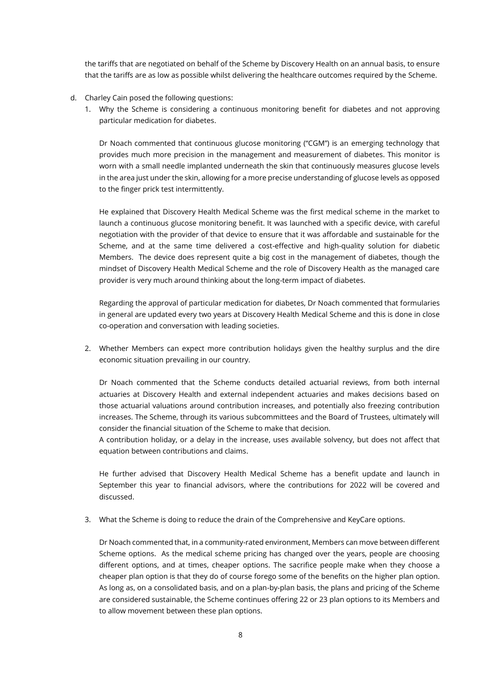the tariffs that are negotiated on behalf of the Scheme by Discovery Health on an annual basis, to ensure that the tariffs are as low as possible whilst delivering the healthcare outcomes required by the Scheme.

- d. Charley Cain posed the following questions:
	- 1. Why the Scheme is considering a continuous monitoring benefit for diabetes and not approving particular medication for diabetes.

Dr Noach commented that continuous glucose monitoring ("CGM") is an emerging technology that provides much more precision in the management and measurement of diabetes. This monitor is worn with a small needle implanted underneath the skin that continuously measures glucose levels in the area just under the skin, allowing for a more precise understanding of glucose levels as opposed to the finger prick test intermittently.

He explained that Discovery Health Medical Scheme was the first medical scheme in the market to launch a continuous glucose monitoring benefit. It was launched with a specific device, with careful negotiation with the provider of that device to ensure that it was affordable and sustainable for the Scheme, and at the same time delivered a cost-effective and high-quality solution for diabetic Members. The device does represent quite a big cost in the management of diabetes, though the mindset of Discovery Health Medical Scheme and the role of Discovery Health as the managed care provider is very much around thinking about the long-term impact of diabetes.

Regarding the approval of particular medication for diabetes, Dr Noach commented that formularies in general are updated every two years at Discovery Health Medical Scheme and this is done in close co-operation and conversation with leading societies.

2. Whether Members can expect more contribution holidays given the healthy surplus and the dire economic situation prevailing in our country.

Dr Noach commented that the Scheme conducts detailed actuarial reviews, from both internal actuaries at Discovery Health and external independent actuaries and makes decisions based on those actuarial valuations around contribution increases, and potentially also freezing contribution increases. The Scheme, through its various subcommittees and the Board of Trustees, ultimately will consider the financial situation of the Scheme to make that decision.

A contribution holiday, or a delay in the increase, uses available solvency, but does not affect that equation between contributions and claims.

He further advised that Discovery Health Medical Scheme has a benefit update and launch in September this year to financial advisors, where the contributions for 2022 will be covered and discussed.

3. What the Scheme is doing to reduce the drain of the Comprehensive and KeyCare options.

Dr Noach commented that, in a community-rated environment, Members can move between different Scheme options. As the medical scheme pricing has changed over the years, people are choosing different options, and at times, cheaper options. The sacrifice people make when they choose a cheaper plan option is that they do of course forego some of the benefits on the higher plan option. As long as, on a consolidated basis, and on a plan-by-plan basis, the plans and pricing of the Scheme are considered sustainable, the Scheme continues offering 22 or 23 plan options to its Members and to allow movement between these plan options.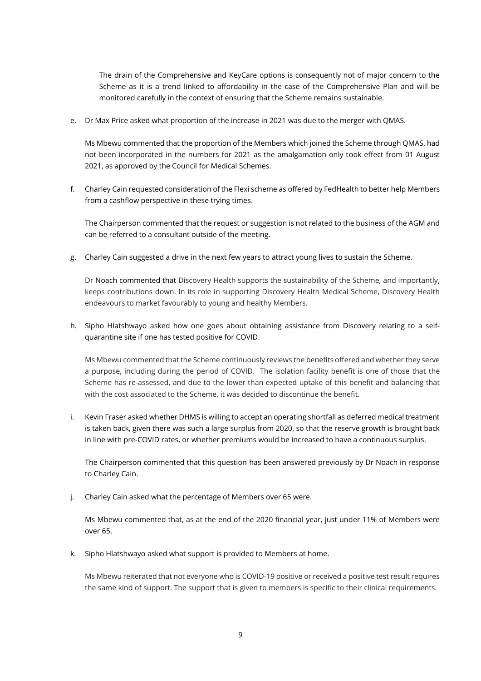The drain of the Comprehensive and KeyCare options is consequently not of major concern to the Scheme as it is a trend linked to affordability in the case of the Comprehensive Plan and will be monitored carefully in the context of ensuring that the Scheme remains sustainable.

e. Dr Max Price asked what proportion of the increase in 2021 was due to the merger with QMAS.

Ms Mbewu commented that the proportion of the Members which joined the Scheme through QMAS, had not been incorporated in the numbers for 2021 as the amalgamation only took effect from 01 August 2021, as approved by the Council for Medical Schemes.

f. Charley Cain requested consideration of the Flexi scheme as offered by FedHealth to better help Members from a cashflow perspective in these trying times.

The Chairperson commented that the request or suggestion is not related to the business of the AGM and can be referred to a consultant outside of the meeting.

g. Charley Cain suggested a drive in the next few years to attract young lives to sustain the Scheme.

Dr Noach commented that Discovery Health supports the sustainability of the Scheme, and importantly, keeps contributions down. In its role in supporting Discovery Health Medical Scheme, Discovery Health endeavours to market favourably to young and healthy Members.

h. Sipho Hlatshwayo asked how one goes about obtaining assistance from Discovery relating to a selfquarantine site if one has tested positive for COVID.

Ms Mbewu commented that the Scheme continuously reviews the benefits offered and whether they serve a purpose, including during the period of COVID. The isolation facility benefit is one of those that the Scheme has re-assessed, and due to the lower than expected uptake of this benefit and balancing that with the cost associated to the Scheme, it was decided to discontinue the benefit.

i. Kevin Fraser asked whether DHMS is willing to accept an operating shortfall as deferred medical treatment is taken back, given there was such a large surplus from 2020, so that the reserve growth is brought back in line with pre-COVID rates, or whether premiums would be increased to have a continuous surplus.

The Chairperson commented that this question has been answered previously by Dr Noach in response to Charley Cain.

j. Charley Cain asked what the percentage of Members over 65 were.

Ms Mbewu commented that, as at the end of the 2020 financial year, just under 11% of Members were over 65.

k. Sipho Hlatshwayo asked what support is provided to Members at home.

Ms Mbewu reiterated that not everyone who is COVID-19 positive or received a positive test result requires the same kind of support. The support that is given to members is specific to their clinical requirements.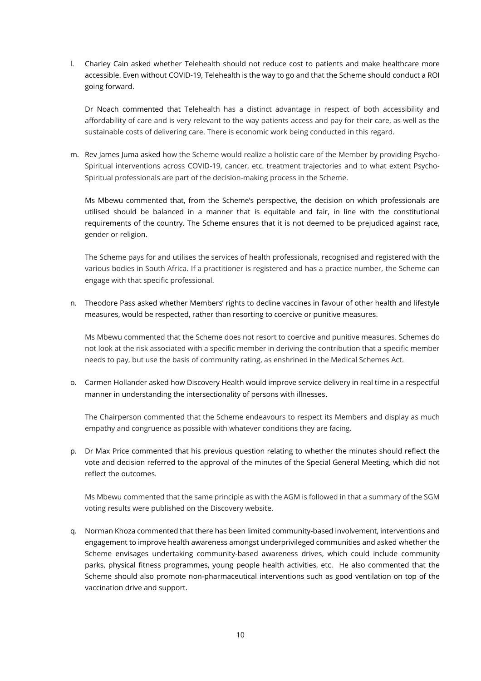l. Charley Cain asked whether Telehealth should not reduce cost to patients and make healthcare more accessible. Even without COVID-19, Telehealth is the way to go and that the Scheme should conduct a ROI going forward.

Dr Noach commented that Telehealth has a distinct advantage in respect of both accessibility and affordability of care and is very relevant to the way patients access and pay for their care, as well as the sustainable costs of delivering care. There is economic work being conducted in this regard.

m. Rev James Juma asked how the Scheme would realize a holistic care of the Member by providing Psycho-Spiritual interventions across COVID-19, cancer, etc. treatment trajectories and to what extent Psycho-Spiritual professionals are part of the decision-making process in the Scheme.

Ms Mbewu commented that, from the Scheme's perspective, the decision on which professionals are utilised should be balanced in a manner that is equitable and fair, in line with the constitutional requirements of the country. The Scheme ensures that it is not deemed to be prejudiced against race, gender or religion.

The Scheme pays for and utilises the services of health professionals, recognised and registered with the various bodies in South Africa. If a practitioner is registered and has a practice number, the Scheme can engage with that specific professional.

n. Theodore Pass asked whether Members' rights to decline vaccines in favour of other health and lifestyle measures, would be respected, rather than resorting to coercive or punitive measures.

Ms Mbewu commented that the Scheme does not resort to coercive and punitive measures. Schemes do not look at the risk associated with a specific member in deriving the contribution that a specific member needs to pay, but use the basis of community rating, as enshrined in the Medical Schemes Act.

o. Carmen Hollander asked how Discovery Health would improve service delivery in real time in a respectful manner in understanding the intersectionality of persons with illnesses.

The Chairperson commented that the Scheme endeavours to respect its Members and display as much empathy and congruence as possible with whatever conditions they are facing.

p. Dr Max Price commented that his previous question relating to whether the minutes should reflect the vote and decision referred to the approval of the minutes of the Special General Meeting, which did not reflect the outcomes.

Ms Mbewu commented that the same principle as with the AGM is followed in that a summary of the SGM voting results were published on the Discovery website.

q. Norman Khoza commented that there has been limited community-based involvement, interventions and engagement to improve health awareness amongst underprivileged communities and asked whether the Scheme envisages undertaking community-based awareness drives, which could include community parks, physical fitness programmes, young people health activities, etc. He also commented that the Scheme should also promote non-pharmaceutical interventions such as good ventilation on top of the vaccination drive and support.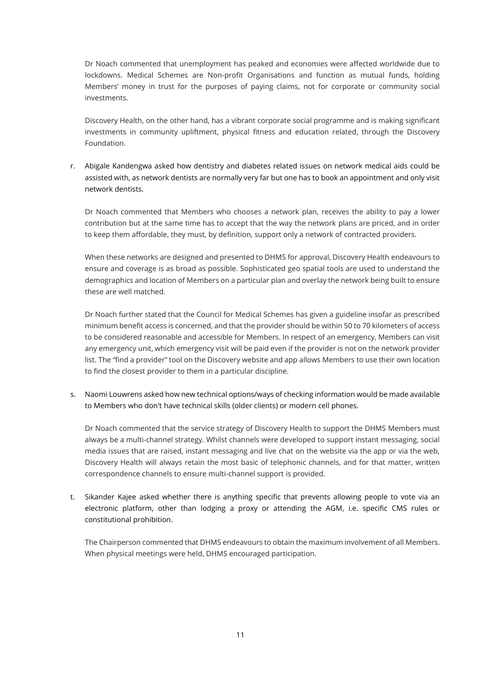Dr Noach commented that unemployment has peaked and economies were affected worldwide due to lockdowns. Medical Schemes are Non-profit Organisations and function as mutual funds, holding Members' money in trust for the purposes of paying claims, not for corporate or community social investments.

Discovery Health, on the other hand, has a vibrant corporate social programme and is making significant investments in community upliftment, physical fitness and education related, through the Discovery Foundation.

r. Abigale Kandengwa asked how dentistry and diabetes related issues on network medical aids could be assisted with, as network dentists are normally very far but one has to book an appointment and only visit network dentists.

Dr Noach commented that Members who chooses a network plan, receives the ability to pay a lower contribution but at the same time has to accept that the way the network plans are priced, and in order to keep them affordable, they must, by definition, support only a network of contracted providers.

When these networks are designed and presented to DHMS for approval, Discovery Health endeavours to ensure and coverage is as broad as possible. Sophisticated geo spatial tools are used to understand the demographics and location of Members on a particular plan and overlay the network being built to ensure these are well matched.

Dr Noach further stated that the Council for Medical Schemes has given a guideline insofar as prescribed minimum benefit access is concerned, and that the provider should be within 50 to 70 kilometers of access to be considered reasonable and accessible for Members. In respect of an emergency, Members can visit any emergency unit, which emergency visit will be paid even if the provider is not on the network provider list. The "find a provider" tool on the Discovery website and app allows Members to use their own location to find the closest provider to them in a particular discipline.

s. Naomi Louwrens asked how new technical options/ways of checking information would be made available to Members who don't have technical skills (older clients) or modern cell phones.

Dr Noach commented that the service strategy of Discovery Health to support the DHMS Members must always be a multi-channel strategy. Whilst channels were developed to support instant messaging, social media issues that are raised, instant messaging and live chat on the website via the app or via the web, Discovery Health will always retain the most basic of telephonic channels, and for that matter, written correspondence channels to ensure multi-channel support is provided.

t. Sikander Kajee asked whether there is anything specific that prevents allowing people to vote via an electronic platform, other than lodging a proxy or attending the AGM, i.e. specific CMS rules or constitutional prohibition.

The Chairperson commented that DHMS endeavours to obtain the maximum involvement of all Members. When physical meetings were held, DHMS encouraged participation.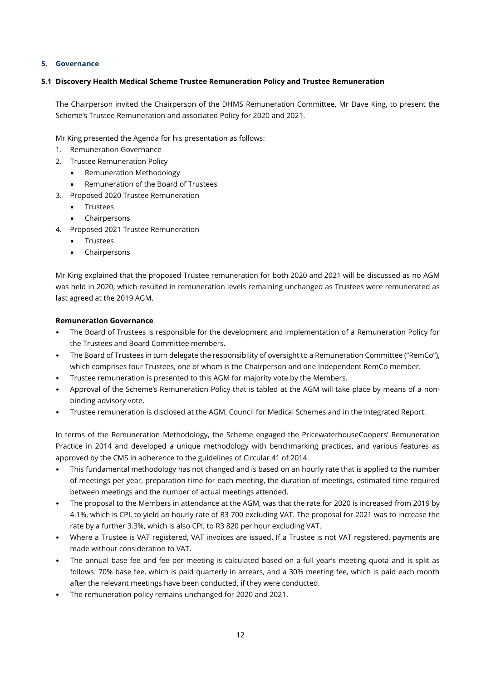### **5. Governance**

### **5.1 Discovery Health Medical Scheme Trustee Remuneration Policy and Trustee Remuneration**

The Chairperson invited the Chairperson of the DHMS Remuneration Committee, Mr Dave King, to present the Scheme's Trustee Remuneration and associated Policy for 2020 and 2021.

Mr King presented the Agenda for his presentation as follows:

- 1. Remuneration Governance
- 2. Trustee Remuneration Policy
	- Remuneration Methodology
	- Remuneration of the Board of Trustees
- 3. Proposed 2020 Trustee Remuneration
	- Trustees
	- Chairpersons
- 4. Proposed 2021 Trustee Remuneration
	- **Trustees**
	- **Chairpersons**

Mr King explained that the proposed Trustee remuneration for both 2020 and 2021 will be discussed as no AGM was held in 2020, which resulted in remuneration levels remaining unchanged as Trustees were remunerated as last agreed at the 2019 AGM.

### **Remuneration Governance**

- The Board of Trustees is responsible for the development and implementation of a Remuneration Policy for the Trustees and Board Committee members.
- The Board of Trustees in turn delegate the responsibility of oversight to a Remuneration Committee ("RemCo"), which comprises four Trustees, one of whom is the Chairperson and one Independent RemCo member.
- Trustee remuneration is presented to this AGM for majority vote by the Members.
- Approval of the Scheme's Remuneration Policy that is tabled at the AGM will take place by means of a nonbinding advisory vote.
- Trustee remuneration is disclosed at the AGM, Council for Medical Schemes and in the Integrated Report.

In terms of the Remuneration Methodology, the Scheme engaged the PricewaterhouseCoopers' Remuneration Practice in 2014 and developed a unique methodology with benchmarking practices, and various features as approved by the CMS in adherence to the guidelines of Circular 41 of 2014.

- This fundamental methodology has not changed and is based on an hourly rate that is applied to the number of meetings per year, preparation time for each meeting, the duration of meetings, estimated time required between meetings and the number of actual meetings attended.
- The proposal to the Members in attendance at the AGM, was that the rate for 2020 is increased from 2019 by 4.1%, which is CPI, to yield an hourly rate of R3 700 excluding VAT. The proposal for 2021 was to increase the rate by a further 3.3%, which is also CPI, to R3 820 per hour excluding VAT.
- Where a Trustee is VAT registered, VAT invoices are issued. If a Trustee is not VAT registered, payments are made without consideration to VAT.
- The annual base fee and fee per meeting is calculated based on a full year's meeting quota and is split as follows: 70% base fee, which is paid quarterly in arrears, and a 30% meeting fee, which is paid each month after the relevant meetings have been conducted, if they were conducted.
- The remuneration policy remains unchanged for 2020 and 2021.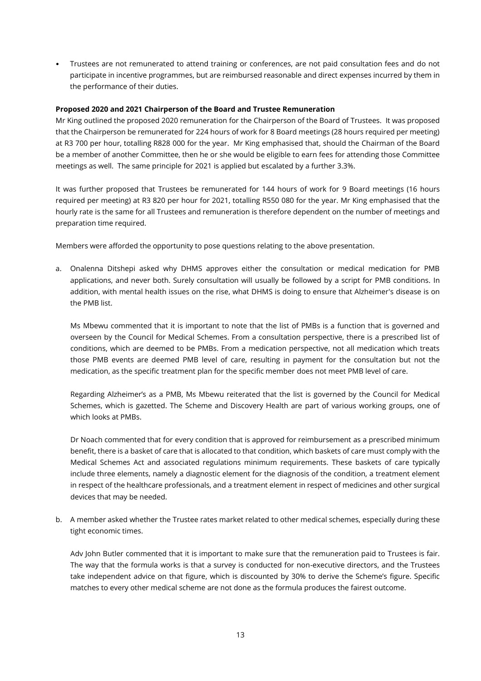• Trustees are not remunerated to attend training or conferences, are not paid consultation fees and do not participate in incentive programmes, but are reimbursed reasonable and direct expenses incurred by them in the performance of their duties.

#### **Proposed 2020 and 2021 Chairperson of the Board and Trustee Remuneration**

Mr King outlined the proposed 2020 remuneration for the Chairperson of the Board of Trustees. It was proposed that the Chairperson be remunerated for 224 hours of work for 8 Board meetings (28 hours required per meeting) at R3 700 per hour, totalling R828 000 for the year. Mr King emphasised that, should the Chairman of the Board be a member of another Committee, then he or she would be eligible to earn fees for attending those Committee meetings as well. The same principle for 2021 is applied but escalated by a further 3.3%.

It was further proposed that Trustees be remunerated for 144 hours of work for 9 Board meetings (16 hours required per meeting) at R3 820 per hour for 2021, totalling R550 080 for the year. Mr King emphasised that the hourly rate is the same for all Trustees and remuneration is therefore dependent on the number of meetings and preparation time required.

Members were afforded the opportunity to pose questions relating to the above presentation.

a. Onalenna Ditshepi asked why DHMS approves either the consultation or medical medication for PMB applications, and never both. Surely consultation will usually be followed by a script for PMB conditions. In addition, with mental health issues on the rise, what DHMS is doing to ensure that Alzheimer's disease is on the PMB list.

Ms Mbewu commented that it is important to note that the list of PMBs is a function that is governed and overseen by the Council for Medical Schemes. From a consultation perspective, there is a prescribed list of conditions, which are deemed to be PMBs. From a medication perspective, not all medication which treats those PMB events are deemed PMB level of care, resulting in payment for the consultation but not the medication, as the specific treatment plan for the specific member does not meet PMB level of care.

Regarding Alzheimer's as a PMB, Ms Mbewu reiterated that the list is governed by the Council for Medical Schemes, which is gazetted. The Scheme and Discovery Health are part of various working groups, one of which looks at PMBs.

Dr Noach commented that for every condition that is approved for reimbursement as a prescribed minimum benefit, there is a basket of care that is allocated to that condition, which baskets of care must comply with the Medical Schemes Act and associated regulations minimum requirements. These baskets of care typically include three elements, namely a diagnostic element for the diagnosis of the condition, a treatment element in respect of the healthcare professionals, and a treatment element in respect of medicines and other surgical devices that may be needed.

b. A member asked whether the Trustee rates market related to other medical schemes, especially during these tight economic times.

Adv John Butler commented that it is important to make sure that the remuneration paid to Trustees is fair. The way that the formula works is that a survey is conducted for non-executive directors, and the Trustees take independent advice on that figure, which is discounted by 30% to derive the Scheme's figure. Specific matches to every other medical scheme are not done as the formula produces the fairest outcome.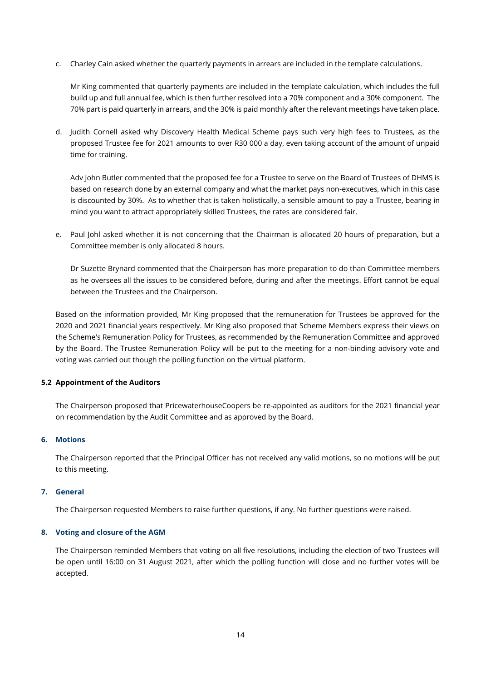c. Charley Cain asked whether the quarterly payments in arrears are included in the template calculations.

Mr King commented that quarterly payments are included in the template calculation, which includes the full build up and full annual fee, which is then further resolved into a 70% component and a 30% component. The 70% part is paid quarterly in arrears, and the 30% is paid monthly after the relevant meetings have taken place.

d. Judith Cornell asked why Discovery Health Medical Scheme pays such very high fees to Trustees, as the proposed Trustee fee for 2021 amounts to over R30 000 a day, even taking account of the amount of unpaid time for training.

Adv John Butler commented that the proposed fee for a Trustee to serve on the Board of Trustees of DHMS is based on research done by an external company and what the market pays non-executives, which in this case is discounted by 30%. As to whether that is taken holistically, a sensible amount to pay a Trustee, bearing in mind you want to attract appropriately skilled Trustees, the rates are considered fair.

e. Paul Johl asked whether it is not concerning that the Chairman is allocated 20 hours of preparation, but a Committee member is only allocated 8 hours.

Dr Suzette Brynard commented that the Chairperson has more preparation to do than Committee members as he oversees all the issues to be considered before, during and after the meetings. Effort cannot be equal between the Trustees and the Chairperson.

Based on the information provided, Mr King proposed that the remuneration for Trustees be approved for the 2020 and 2021 financial years respectively. Mr King also proposed that Scheme Members express their views on the Scheme's Remuneration Policy for Trustees, as recommended by the Remuneration Committee and approved by the Board. The Trustee Remuneration Policy will be put to the meeting for a non-binding advisory vote and voting was carried out though the polling function on the virtual platform.

#### **5.2 Appointment of the Auditors**

The Chairperson proposed that PricewaterhouseCoopers be re-appointed as auditors for the 2021 financial year on recommendation by the Audit Committee and as approved by the Board.

#### **6. Motions**

The Chairperson reported that the Principal Officer has not received any valid motions, so no motions will be put to this meeting.

#### **7. General**

The Chairperson requested Members to raise further questions, if any. No further questions were raised.

#### **8. Voting and closure of the AGM**

The Chairperson reminded Members that voting on all five resolutions, including the election of two Trustees will be open until 16:00 on 31 August 2021, after which the polling function will close and no further votes will be accepted.